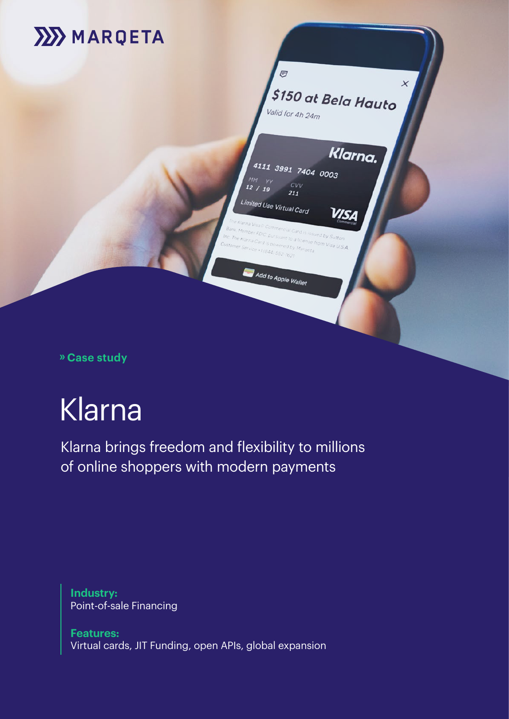

Klarna brings freedom and flexibility to millions of online shoppers with modern payments

**Industry:** Point-of-sale Financing

**Features:**  Virtual cards, JIT Funding, open APIs, global expansion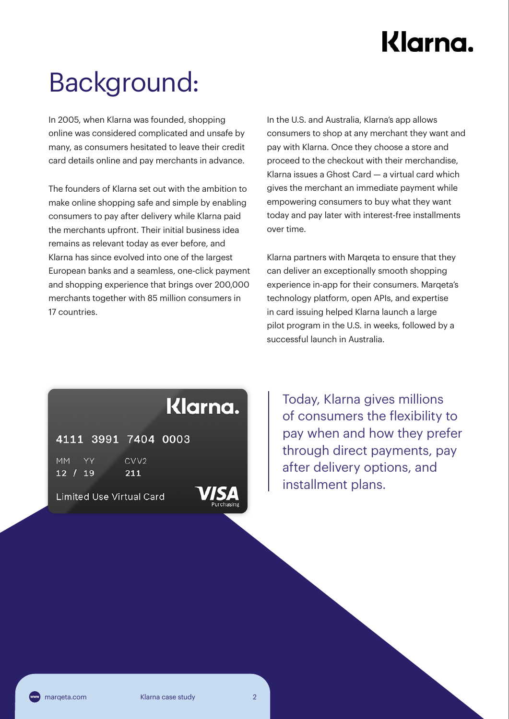# Background:

In 2005, when Klarna was founded, shopping online was considered complicated and unsafe by many, as consumers hesitated to leave their credit card details online and pay merchants in advance.

The founders of Klarna set out with the ambition to make online shopping safe and simple by enabling consumers to pay after delivery while Klarna paid the merchants upfront. Their initial business idea remains as relevant today as ever before, and Klarna has since evolved into one of the largest European banks and a seamless, one-click payment and shopping experience that brings over 200,000 merchants together with 85 million consumers in 17 countries.

In the U.S. and Australia, Klarna's app allows consumers to shop at any merchant they want and pay with Klarna. Once they choose a store and proceed to the checkout with their merchandise, Klarna issues a Ghost Card — a virtual card which gives the merchant an immediate payment while empowering consumers to buy what they want today and pay later with interest-free installments over time.

Klarna partners with Marqeta to ensure that they can deliver an exceptionally smooth shopping experience in-app for their consumers. Marqeta's technology platform, open APIs, and expertise in card issuing helped Klarna launch a large pilot program in the U.S. in weeks, followed by a successful launch in Australia.

### Klarna.

4111 3991 7404 0003

**MM** CVV<sub>2</sub> 211  $12 / 19$ 

**Limited Use Virtual Card** 

Today, Klarna gives millions of consumers the flexibility to pay when and how they prefer through direct payments, pay after delivery options, and installment plans.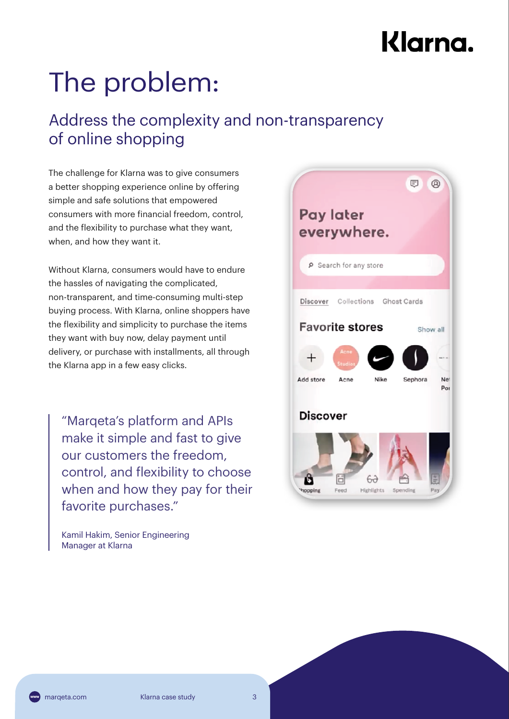# The problem:

### Address the complexity and non-transparency of online shopping

The challenge for Klarna was to give consumers a better shopping experience online by offering simple and safe solutions that empowered consumers with more financial freedom, control, and the flexibility to purchase what they want, when, and how they want it.

Without Klarna, consumers would have to endure the hassles of navigating the complicated, non-transparent, and time-consuming multi-step buying process. With Klarna, online shoppers have the flexibility and simplicity to purchase the items they want with buy now, delay payment until delivery, or purchase with installments, all through the Klarna app in a few easy clicks.

"Marqeta's platform and APIs make it simple and fast to give our customers the freedom, control, and flexibility to choose when and how they pay for their favorite purchases."

Kamil Hakim, Senior Engineering Manager at Klarna

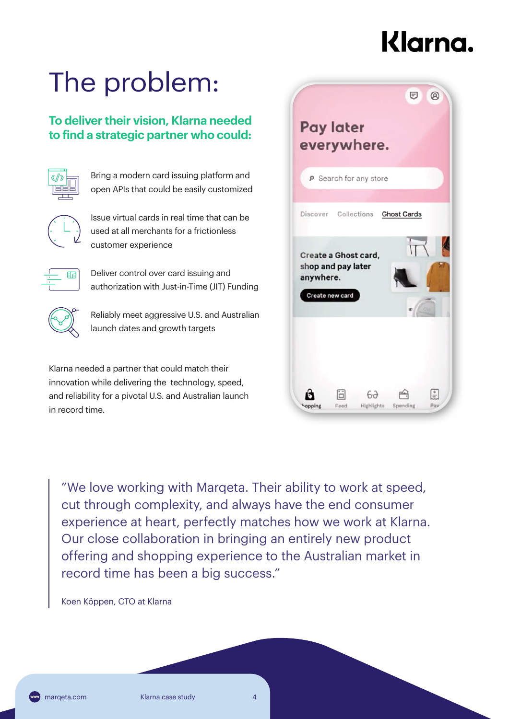# The problem:

### **To deliver their vision, Klarna needed to find a strategic partner who could:**



 Bring a modern card issuing platform and open APIs that could be easily customized

 Issue virtual cards in real time that can be used at all merchants for a frictionless customer experience

 Deliver control over card issuing and authorization with Just-in-Time (JIT) Funding



 Reliably meet aggressive U.S. and Australian launch dates and growth targets

Klarna needed a partner that could match their innovation while delivering the technology, speed, and reliability for a pivotal U.S. and Australian launch in record time.



"We love working with Marqeta. Their ability to work at speed, cut through complexity, and always have the end consumer experience at heart, perfectly matches how we work at Klarna. Our close collaboration in bringing an entirely new product offering and shopping experience to the Australian market in record time has been a big success."

Koen Köppen, CTO at Klarna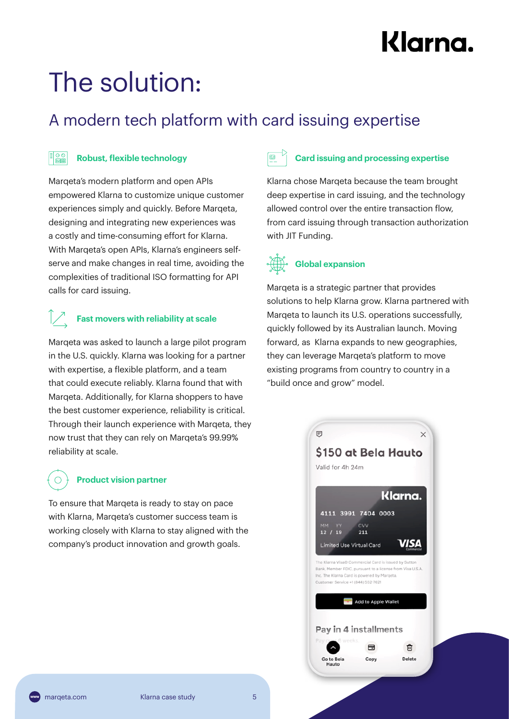# The solution:

### A modern tech platform with card issuing expertise

#### $\boxed{\frac{1}{\mathbb{R}^2}}$ **Robust, flexible technology**

Marqeta's modern platform and open APIs empowered Klarna to customize unique customer experiences simply and quickly. Before Marqeta, designing and integrating new experiences was a costly and time-consuming effort for Klarna. With Marqeta's open APIs, Klarna's engineers selfserve and make changes in real time, avoiding the complexities of traditional ISO formatting for API calls for card issuing.

### **Fast movers with reliability at scale**

Marqeta was asked to launch a large pilot program in the U.S. quickly. Klarna was looking for a partner with expertise, a flexible platform, and a team that could execute reliably. Klarna found that with Marqeta. Additionally, for Klarna shoppers to have the best customer experience, reliability is critical. Through their launch experience with Marqeta, they now trust that they can rely on Marqeta's 99.99% reliability at scale.

### **Product vision partner**

To ensure that Marqeta is ready to stay on pace with Klarna, Marqeta's customer success team is working closely with Klarna to stay aligned with the company's product innovation and growth goals.

### **Card issuing and processing expertise**

Klarna chose Marqeta because the team brought deep expertise in card issuing, and the technology allowed control over the entire transaction flow, from card issuing through transaction authorization with JIT Funding.

### **Global expansion**

Marqeta is a strategic partner that provides solutions to help Klarna grow. Klarna partnered with Marqeta to launch its U.S. operations successfully, quickly followed by its Australian launch. Moving forward, as Klarna expands to new geographies, they can leverage Marqeta's platform to move existing programs from country to country in a "build once and grow" model.

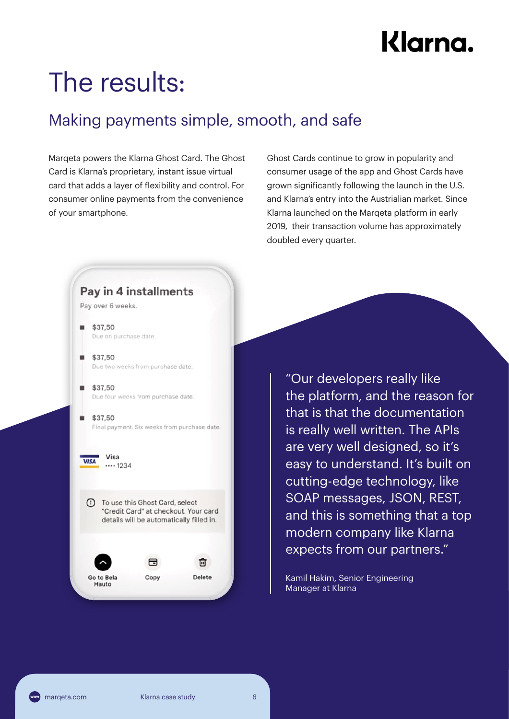## The results:

### Making payments simple, smooth, and safe

Marqeta powers the Klarna Ghost Card. The Ghost Card is Klarna's proprietary, instant issue virtual card that adds a layer of flexibility and control. For consumer online payments from the convenience of your smartphone.

Ghost Cards continue to grow in popularity and consumer usage of the app and Ghost Cards have grown significantly following the launch in the U.S. and Klarna's entry into the Austrialian market. Since Klarna launched on the Marqeta platform in early 2019, their transaction volume has approximately doubled every quarter.